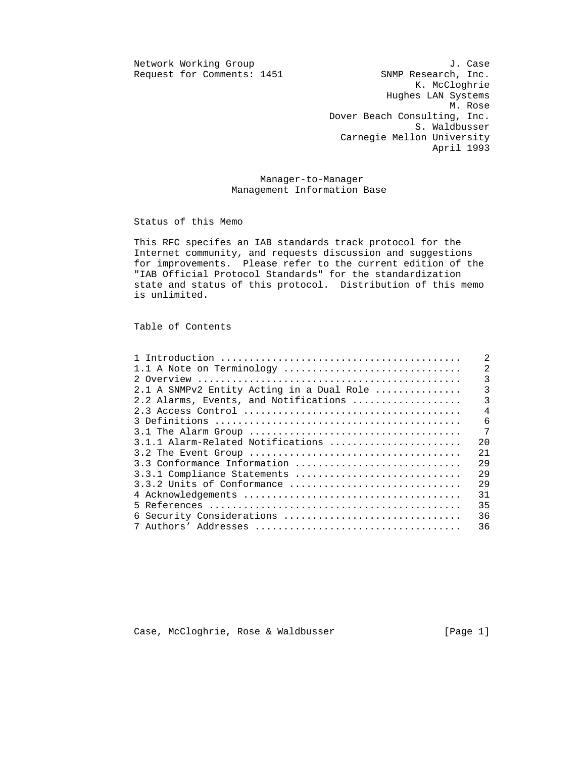Request for Comments: 1451

Network Working Group J. Case<br>Request for Comments: 1451 SNMP Research, Inc. K. McCloghrie Hughes LAN Systems M. Rose Dover Beach Consulting, Inc. S. Waldbusser Carnegie Mellon University April 1993

> Manager-to-Manager Management Information Base

Status of this Memo

 This RFC specifes an IAB standards track protocol for the Internet community, and requests discussion and suggestions for improvements. Please refer to the current edition of the "IAB Official Protocol Standards" for the standardization state and status of this protocol. Distribution of this memo is unlimited.

Table of Contents

| 2                                                           |
|-------------------------------------------------------------|
| $\overline{2}$<br>1.1 A Note on Terminology                 |
| 3                                                           |
| $\overline{3}$<br>2.1 A SNMPv2 Entity Acting in a Dual Role |
| $\overline{3}$<br>2.2 Alarms, Events, and Notifications     |
| $\overline{4}$                                              |
| 6                                                           |
| 7                                                           |
| 20<br>3.1.1 Alarm-Related Notifications                     |
| 21                                                          |
| 29<br>3.3 Conformance Information                           |
| 2.9<br>3.3.1 Compliance Statements                          |
| 29<br>3.3.2 Units of Conformance                            |
| 31                                                          |
| 35                                                          |
| 36<br>6 Security Considerations                             |
| 36                                                          |

Case, McCloghrie, Rose & Waldbusser [Page 1]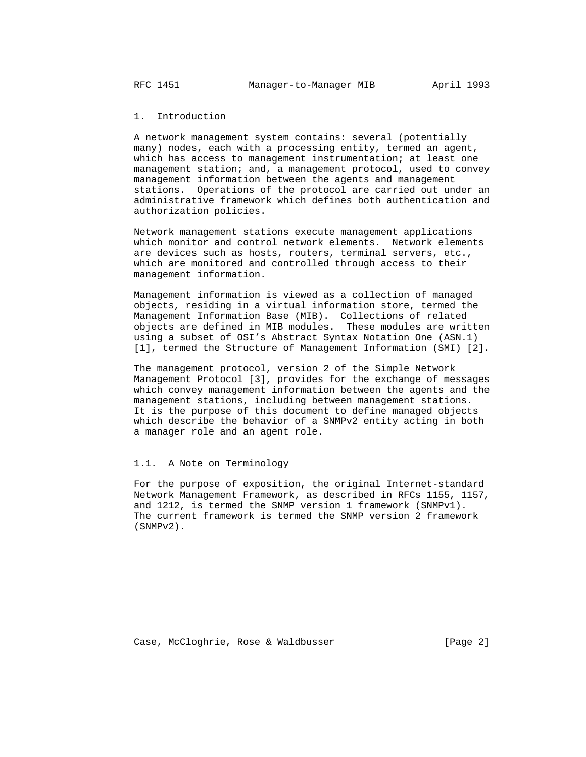# 1. Introduction

 A network management system contains: several (potentially many) nodes, each with a processing entity, termed an agent, which has access to management instrumentation; at least one management station; and, a management protocol, used to convey management information between the agents and management stations. Operations of the protocol are carried out under an administrative framework which defines both authentication and authorization policies.

 Network management stations execute management applications which monitor and control network elements. Network elements are devices such as hosts, routers, terminal servers, etc., which are monitored and controlled through access to their management information.

 Management information is viewed as a collection of managed objects, residing in a virtual information store, termed the Management Information Base (MIB). Collections of related objects are defined in MIB modules. These modules are written using a subset of OSI's Abstract Syntax Notation One (ASN.1) [1], termed the Structure of Management Information (SMI) [2].

 The management protocol, version 2 of the Simple Network Management Protocol [3], provides for the exchange of messages which convey management information between the agents and the management stations, including between management stations. It is the purpose of this document to define managed objects which describe the behavior of a SNMPv2 entity acting in both a manager role and an agent role.

#### 1.1. A Note on Terminology

 For the purpose of exposition, the original Internet-standard Network Management Framework, as described in RFCs 1155, 1157, and 1212, is termed the SNMP version 1 framework (SNMPv1). The current framework is termed the SNMP version 2 framework (SNMPv2).

Case, McCloghrie, Rose & Waldbusser (Page 2)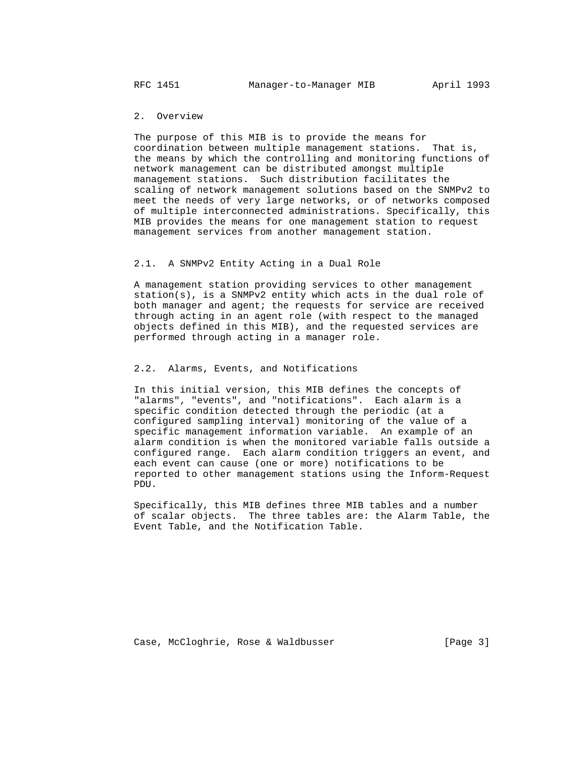## 2. Overview

 The purpose of this MIB is to provide the means for coordination between multiple management stations. That is, the means by which the controlling and monitoring functions of network management can be distributed amongst multiple management stations. Such distribution facilitates the scaling of network management solutions based on the SNMPv2 to meet the needs of very large networks, or of networks composed of multiple interconnected administrations. Specifically, this MIB provides the means for one management station to request management services from another management station.

#### 2.1. A SNMPv2 Entity Acting in a Dual Role

 A management station providing services to other management station(s), is a SNMPv2 entity which acts in the dual role of both manager and agent; the requests for service are received through acting in an agent role (with respect to the managed objects defined in this MIB), and the requested services are performed through acting in a manager role.

### 2.2. Alarms, Events, and Notifications

 In this initial version, this MIB defines the concepts of "alarms", "events", and "notifications". Each alarm is a specific condition detected through the periodic (at a configured sampling interval) monitoring of the value of a specific management information variable. An example of an alarm condition is when the monitored variable falls outside a configured range. Each alarm condition triggers an event, and each event can cause (one or more) notifications to be reported to other management stations using the Inform-Request PDU.

 Specifically, this MIB defines three MIB tables and a number of scalar objects. The three tables are: the Alarm Table, the Event Table, and the Notification Table.

Case, McCloghrie, Rose & Waldbusser (Page 3)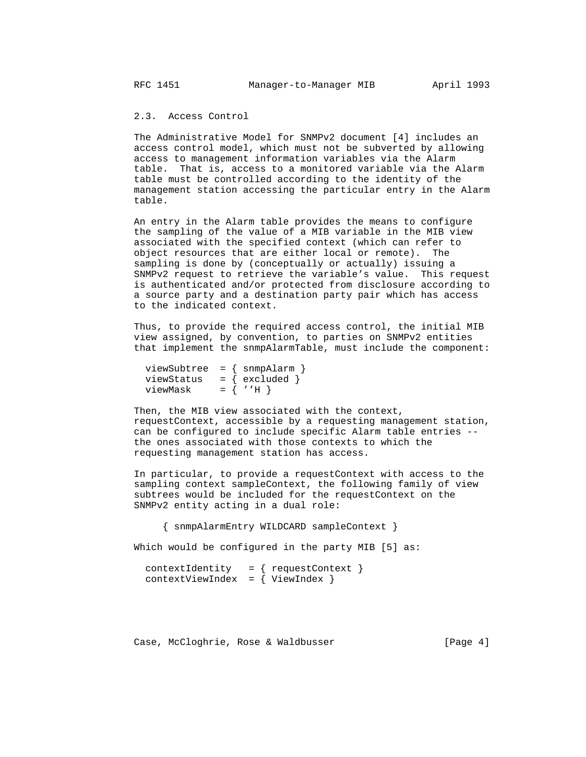## 2.3. Access Control

 The Administrative Model for SNMPv2 document [4] includes an access control model, which must not be subverted by allowing access to management information variables via the Alarm table. That is, access to a monitored variable via the Alarm table must be controlled according to the identity of the management station accessing the particular entry in the Alarm table.

 An entry in the Alarm table provides the means to configure the sampling of the value of a MIB variable in the MIB view associated with the specified context (which can refer to object resources that are either local or remote). The sampling is done by (conceptually or actually) issuing a SNMPv2 request to retrieve the variable's value. This request is authenticated and/or protected from disclosure according to a source party and a destination party pair which has access to the indicated context.

 Thus, to provide the required access control, the initial MIB view assigned, by convention, to parties on SNMPv2 entities that implement the snmpAlarmTable, must include the component:

| $viewSubtree = { smmp Alarm }$ |                  |
|--------------------------------|------------------|
| viewStatus                     | $=$ { excluded } |
| viewMask                       | $=$ { $'$ 'H }   |

 Then, the MIB view associated with the context, requestContext, accessible by a requesting management station, can be configured to include specific Alarm table entries - the ones associated with those contexts to which the requesting management station has access.

 In particular, to provide a requestContext with access to the sampling context sampleContext, the following family of view subtrees would be included for the requestContext on the SNMPv2 entity acting in a dual role:

{ snmpAlarmEntry WILDCARD sampleContext }

Which would be configured in the party MIB [5] as:

```
contextIdentity = { requestContext}contextViewIndex = \{ ViewIndex \}
```
Case, McCloghrie, Rose & Waldbusser [Page 4]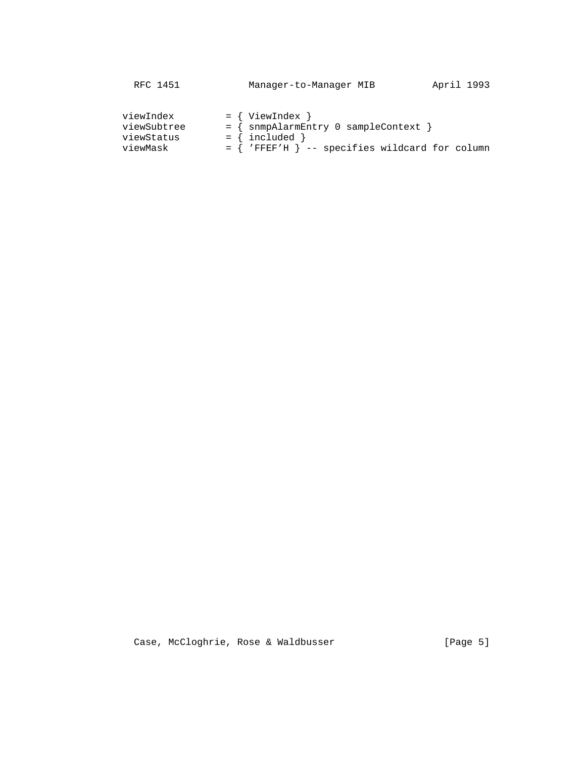| RFC 1451<br>Manager-to-Manager MIB                                                                                                                                                    | April 1993 |
|---------------------------------------------------------------------------------------------------------------------------------------------------------------------------------------|------------|
| $=$ { ViewIndex }<br>viewIndex<br>= { snmpAlarmEntry 0 sampleContext<br>viewSubtree<br>$=$ { included }<br>viewStatus<br>$=$ { 'FFEF'H } -- specifies wildcard for column<br>viewMask |            |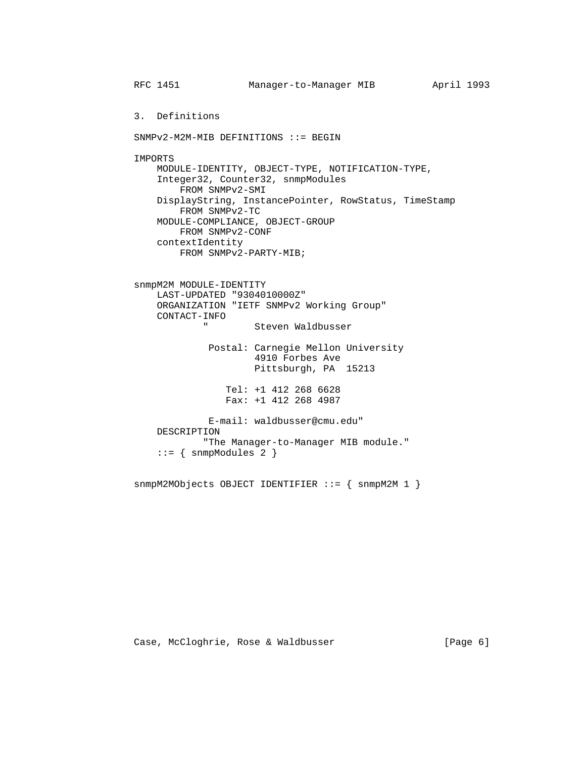RFC 1451 Manager-to-Manager MIB April 1993 3. Definitions SNMPv2-M2M-MIB DEFINITIONS ::= BEGIN IMPORTS MODULE-IDENTITY, OBJECT-TYPE, NOTIFICATION-TYPE, Integer32, Counter32, snmpModules FROM SNMPv2-SMI DisplayString, InstancePointer, RowStatus, TimeStamp FROM SNMPv2-TC MODULE-COMPLIANCE, OBJECT-GROUP FROM SNMPv2-CONF contextIdentity FROM SNMPv2-PARTY-MIB; snmpM2M MODULE-IDENTITY LAST-UPDATED "9304010000Z" ORGANIZATION "IETF SNMPv2 Working Group" CONTACT-INFO Steven Waldbusser Postal: Carnegie Mellon University 4910 Forbes Ave Pittsburgh, PA 15213 Tel: +1 412 268 6628 Fax: +1 412 268 4987 E-mail: waldbusser@cmu.edu" DESCRIPTION "The Manager-to-Manager MIB module."  $::=$  { snmpModules 2 }

snmpM2MObjects OBJECT IDENTIFIER ::= { snmpM2M 1 }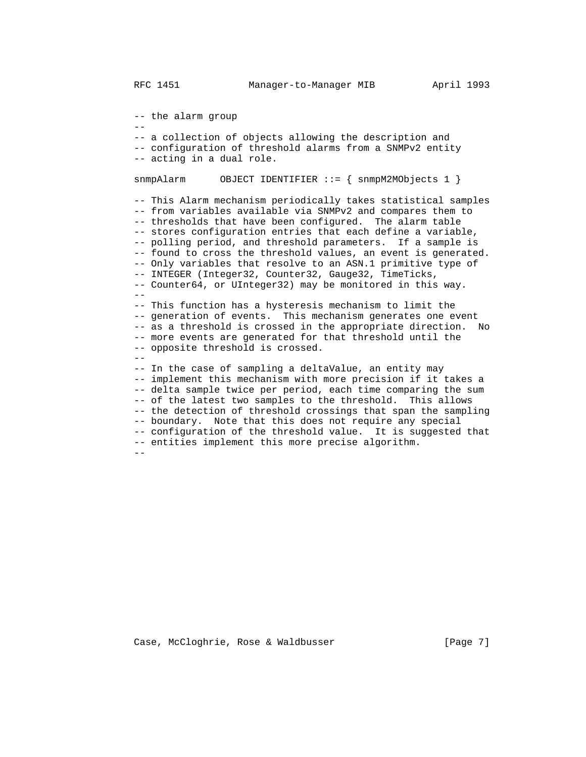-- the alarm group

 -- -- a collection of objects allowing the description and -- configuration of threshold alarms from a SNMPv2 entity -- acting in a dual role.

snmpAlarm OBJECT IDENTIFIER ::= { snmpM2MObjects 1 }

 -- This Alarm mechanism periodically takes statistical samples -- from variables available via SNMPv2 and compares them to -- thresholds that have been configured. The alarm table -- stores configuration entries that each define a variable, -- polling period, and threshold parameters. If a sample is -- found to cross the threshold values, an event is generated. -- Only variables that resolve to an ASN.1 primitive type of -- INTEGER (Integer32, Counter32, Gauge32, TimeTicks, -- Counter64, or UInteger32) may be monitored in this way.  $-$  -- This function has a hysteresis mechanism to limit the -- generation of events. This mechanism generates one event -- as a threshold is crossed in the appropriate direction. No -- more events are generated for that threshold until the -- opposite threshold is crossed. -- -- In the case of sampling a deltaValue, an entity may -- implement this mechanism with more precision if it takes a -- delta sample twice per period, each time comparing the sum -- of the latest two samples to the threshold. This allows -- the detection of threshold crossings that span the sampling -- boundary. Note that this does not require any special -- configuration of the threshold value. It is suggested that -- entities implement this more precise algorithm.

--

Case, McCloghrie, Rose & Waldbusser [Page 7]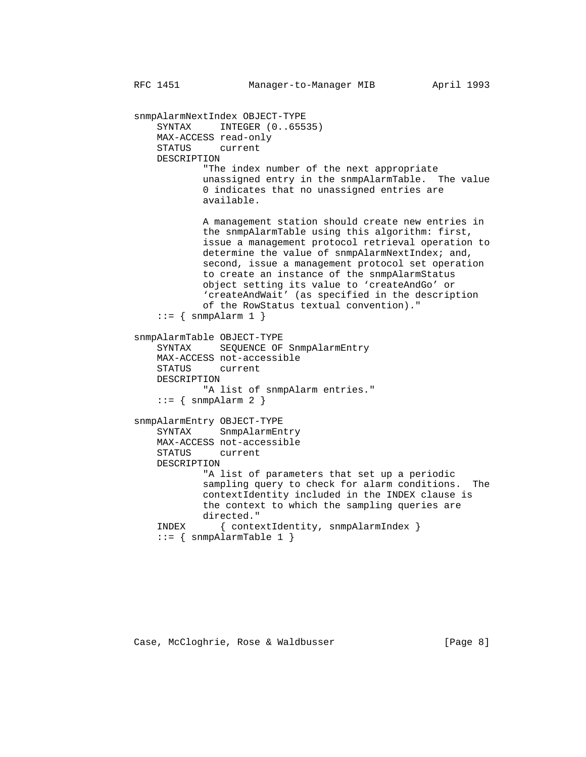snmpAlarmNextIndex OBJECT-TYPE SYNTAX INTEGER (0..65535) MAX-ACCESS read-only STATUS current DESCRIPTION "The index number of the next appropriate unassigned entry in the snmpAlarmTable. The value 0 indicates that no unassigned entries are available. A management station should create new entries in the snmpAlarmTable using this algorithm: first, issue a management protocol retrieval operation to determine the value of snmpAlarmNextIndex; and, second, issue a management protocol set operation to create an instance of the snmpAlarmStatus object setting its value to 'createAndGo' or 'createAndWait' (as specified in the description of the RowStatus textual convention)."  $::=$  { snmpAlarm 1 } snmpAlarmTable OBJECT-TYPE SYNTAX SEQUENCE OF SnmpAlarmEntry MAX-ACCESS not-accessible STATUS current DESCRIPTION "A list of snmpAlarm entries."  $::=$  { snmpAlarm 2 } snmpAlarmEntry OBJECT-TYPE SYNTAX SnmpAlarmEntry MAX-ACCESS not-accessible STATUS current DESCRIPTION "A list of parameters that set up a periodic sampling query to check for alarm conditions. The contextIdentity included in the INDEX clause is the context to which the sampling queries are directed." INDEX { contextIdentity, snmpAlarmIndex }  $::=$  { snmpAlarmTable 1 }

Case, McCloghrie, Rose & Waldbusser (Page 8)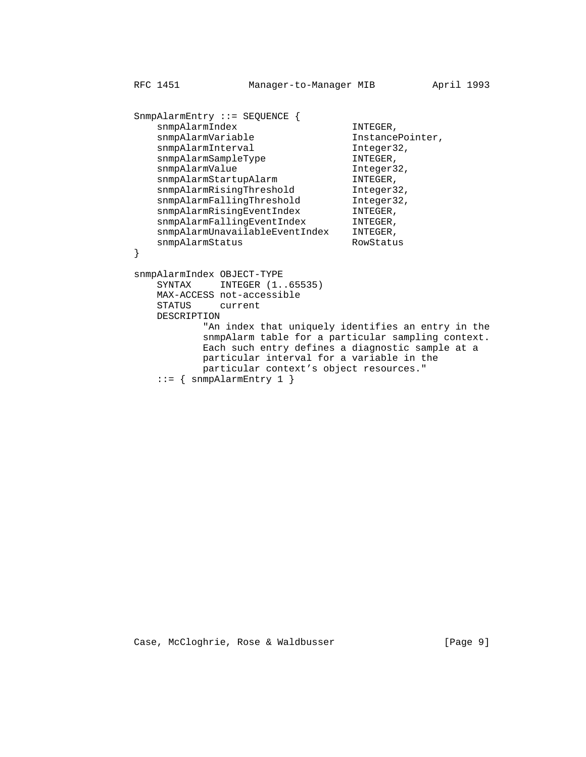```
 SnmpAlarmEntry ::= SEQUENCE {
             snmpAlarmIndex INTEGER,<br>snmpAlarmVariable InstancePointer,
             snmpAlarmVariable
             snmpAlarmInterval Integer32,
             snmpAlarmSampleType INTEGER,
snmpAlarmValue integer32,
snmpAlarmStartupAlarm INTEGER,
             snmpAlarmRisingThreshold Integer32,<br>snmpAlarmFallingThreshold Integer32,
             snmpAlarmFallingThreshold Integer3<br>snmpAlarmRisingEventIndex INTEGER,<br>snmpAlarmFallingEventIndex INTEGER,
snmpAlarmRisingEventIndex INTEGER,
snmpAlarmFallingEventIndex INTEGER,
              snmpAlarmUnavailableEventIndex INTEGER,
         snmpAlarmStatus RowStatus RowStatus
 }
          snmpAlarmIndex OBJECT-TYPE
             SYNTAX INTEGER (1..65535)
             MAX-ACCESS not-accessible<br>STATUS current
                     current
              DESCRIPTION
                      "An index that uniquely identifies an entry in the
                      snmpAlarm table for a particular sampling context.
                      Each such entry defines a diagnostic sample at a
                      particular interval for a variable in the
                      particular context's object resources."
             ::= { snmpAlarmEntry 1 }
```
Case, McCloghrie, Rose & Waldbusser [Page 9]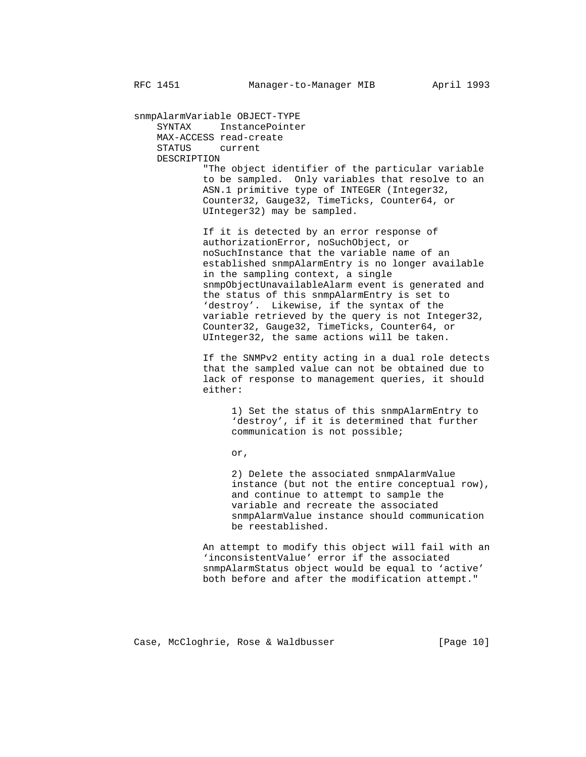snmpAlarmVariable OBJECT-TYPE SYNTAX InstancePointer MAX-ACCESS read-create STATUS current DESCRIPTION "The object identifier of the particular variable to be sampled. Only variables that resolve to an ASN.1 primitive type of INTEGER (Integer32, Counter32, Gauge32, TimeTicks, Counter64, or UInteger32) may be sampled.

> If it is detected by an error response of authorizationError, noSuchObject, or noSuchInstance that the variable name of an established snmpAlarmEntry is no longer available in the sampling context, a single snmpObjectUnavailableAlarm event is generated and the status of this snmpAlarmEntry is set to 'destroy'. Likewise, if the syntax of the variable retrieved by the query is not Integer32, Counter32, Gauge32, TimeTicks, Counter64, or UInteger32, the same actions will be taken.

> If the SNMPv2 entity acting in a dual role detects that the sampled value can not be obtained due to lack of response to management queries, it should either:

 1) Set the status of this snmpAlarmEntry to 'destroy', if it is determined that further communication is not possible;

or,

 2) Delete the associated snmpAlarmValue instance (but not the entire conceptual row), and continue to attempt to sample the variable and recreate the associated snmpAlarmValue instance should communication be reestablished.

 An attempt to modify this object will fail with an 'inconsistentValue' error if the associated snmpAlarmStatus object would be equal to 'active' both before and after the modification attempt."

Case, McCloghrie, Rose & Waldbusser (Page 10)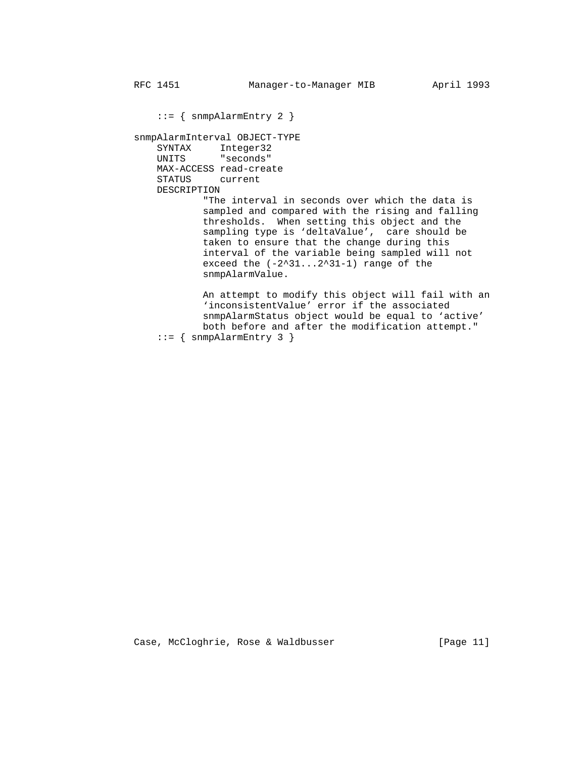::= { snmpAlarmEntry 2 }

 snmpAlarmInterval OBJECT-TYPE SYNTAX Integer32 UNITS "seconds" MAX-ACCESS read-create STATUS current DESCRIPTION

> "The interval in seconds over which the data is sampled and compared with the rising and falling thresholds. When setting this object and the sampling type is 'deltaValue', care should be taken to ensure that the change during this interval of the variable being sampled will not exceed the  $(-2^31...2^31-1)$  range of the snmpAlarmValue.

 An attempt to modify this object will fail with an 'inconsistentValue' error if the associated snmpAlarmStatus object would be equal to 'active' both before and after the modification attempt."  $::=$  { snmpAlarmEntry 3 }

Case, McCloghrie, Rose & Waldbusser [Page 11]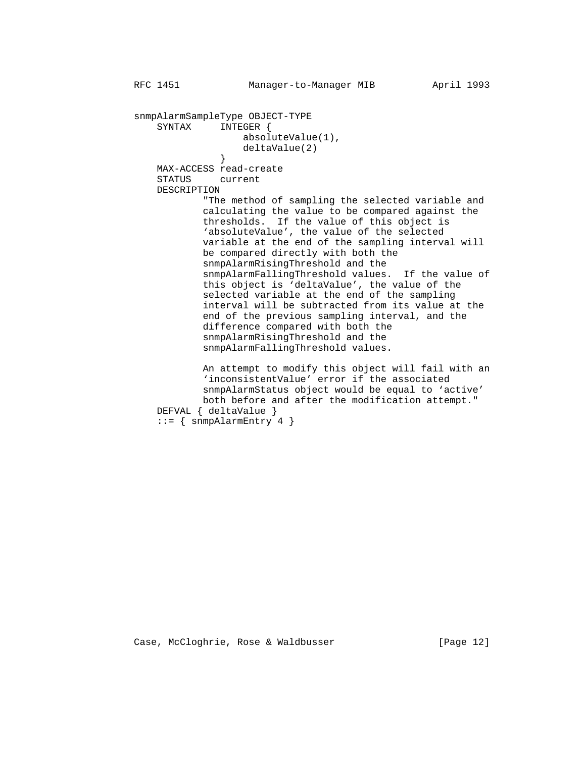snmpAlarmSampleType OBJECT-TYPE SYNTAX INTEGER { absoluteValue(1), deltaValue(2)<br>} } MAX-ACCESS read-create STATUS current DESCRIPTION "The method of sampling the selected variable and calculating the value to be compared against the thresholds. If the value of this object is 'absoluteValue', the value of the selected variable at the end of the sampling interval will be compared directly with both the snmpAlarmRisingThreshold and the snmpAlarmFallingThreshold values. If the value of this object is 'deltaValue', the value of the selected variable at the end of the sampling interval will be subtracted from its value at the end of the previous sampling interval, and the difference compared with both the snmpAlarmRisingThreshold and the snmpAlarmFallingThreshold values. An attempt to modify this object will fail with an 'inconsistentValue' error if the associated snmpAlarmStatus object would be equal to 'active' both before and after the modification attempt." DEFVAL { deltaValue }  $::=$  { snmpAlarmEntry 4 }

Case, McCloghrie, Rose & Waldbusser (Page 12)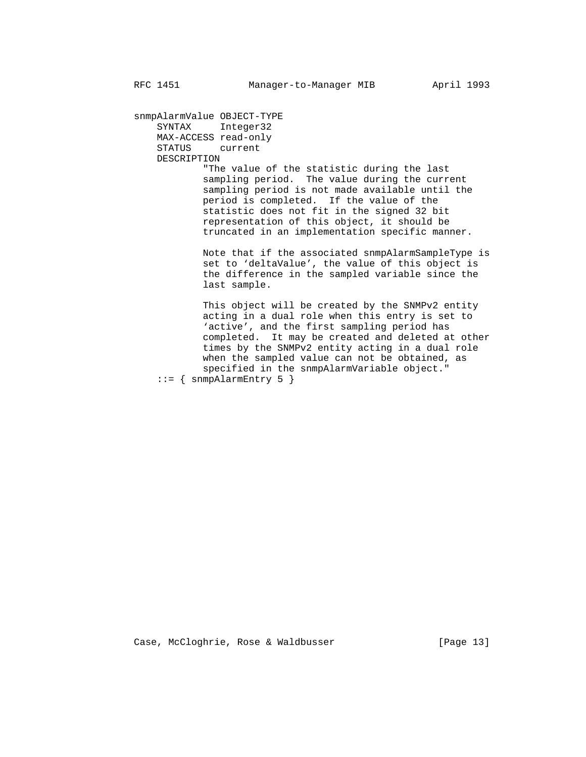snmpAlarmValue OBJECT-TYPE SYNTAX Integer32 MAX-ACCESS read-only STATUS current DESCRIPTION "The value of the statistic during the last sampling period. The value during the current sampling period is not made available until the period is completed. If the value of the statistic does not fit in the signed 32 bit representation of this object, it should be truncated in an implementation specific manner. Note that if the associated snmpAlarmSampleType is

 set to 'deltaValue', the value of this object is the difference in the sampled variable since the last sample.

 This object will be created by the SNMPv2 entity acting in a dual role when this entry is set to 'active', and the first sampling period has completed. It may be created and deleted at other times by the SNMPv2 entity acting in a dual role when the sampled value can not be obtained, as specified in the snmpAlarmVariable object."  $::=$  { snmpAlarmEntry 5 }

Case, McCloghrie, Rose & Waldbusser (Page 13)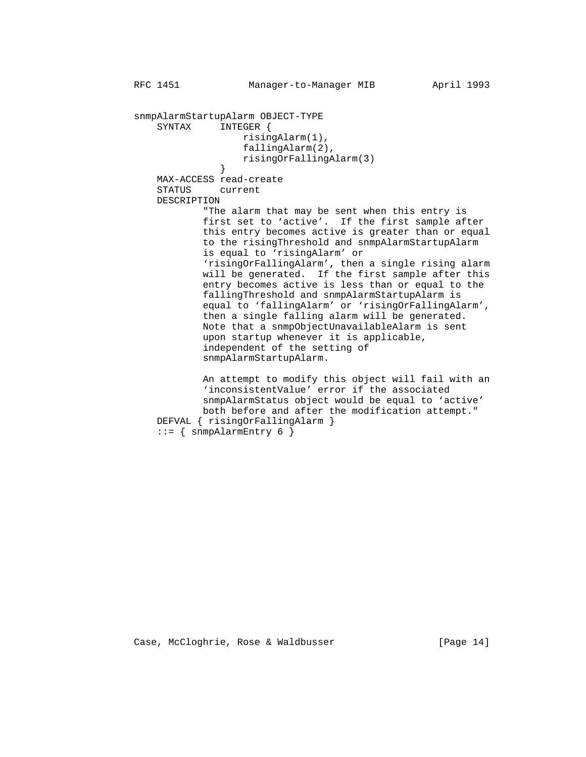```
 snmpAlarmStartupAlarm OBJECT-TYPE
              SYNTAX INTEGER {
                             risingAlarm(1),
                             fallingAlarm(2),
                         risingOrFallingAlarm(3)
 }
              MAX-ACCESS read-create
              STATUS current
              DESCRIPTION
                      "The alarm that may be sent when this entry is
                      first set to 'active'. If the first sample after
                      this entry becomes active is greater than or equal
                     to the risingThreshold and snmpAlarmStartupAlarm
                      is equal to 'risingAlarm' or
                      'risingOrFallingAlarm', then a single rising alarm
                      will be generated. If the first sample after this
                      entry becomes active is less than or equal to the
                      fallingThreshold and snmpAlarmStartupAlarm is
                      equal to 'fallingAlarm' or 'risingOrFallingAlarm',
                      then a single falling alarm will be generated.
                      Note that a snmpObjectUnavailableAlarm is sent
                      upon startup whenever it is applicable,
                      independent of the setting of
                      snmpAlarmStartupAlarm.
                      An attempt to modify this object will fail with an
                      'inconsistentValue' error if the associated
                      snmpAlarmStatus object would be equal to 'active'
                      both before and after the modification attempt."
              DEFVAL { risingOrFallingAlarm }
             ::= { snmpAlarmEntry 6 }
```
Case, McCloghrie, Rose & Waldbusser (Page 14)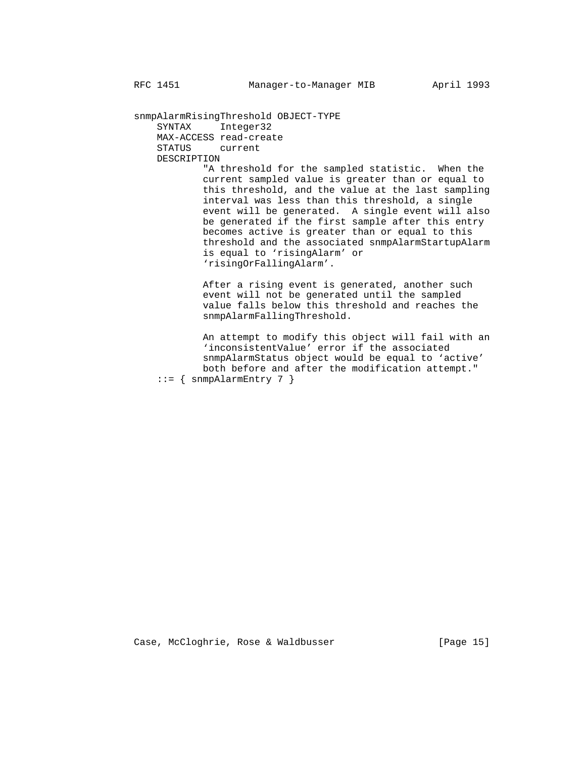snmpAlarmRisingThreshold OBJECT-TYPE SYNTAX Integer32 MAX-ACCESS read-create STATUS current DESCRIPTION

 "A threshold for the sampled statistic. When the current sampled value is greater than or equal to this threshold, and the value at the last sampling interval was less than this threshold, a single event will be generated. A single event will also be generated if the first sample after this entry becomes active is greater than or equal to this threshold and the associated snmpAlarmStartupAlarm is equal to 'risingAlarm' or 'risingOrFallingAlarm'.

 After a rising event is generated, another such event will not be generated until the sampled value falls below this threshold and reaches the snmpAlarmFallingThreshold.

 An attempt to modify this object will fail with an 'inconsistentValue' error if the associated snmpAlarmStatus object would be equal to 'active' both before and after the modification attempt."  $::=$  { snmpAlarmEntry 7 }

Case, McCloghrie, Rose & Waldbusser (Page 15)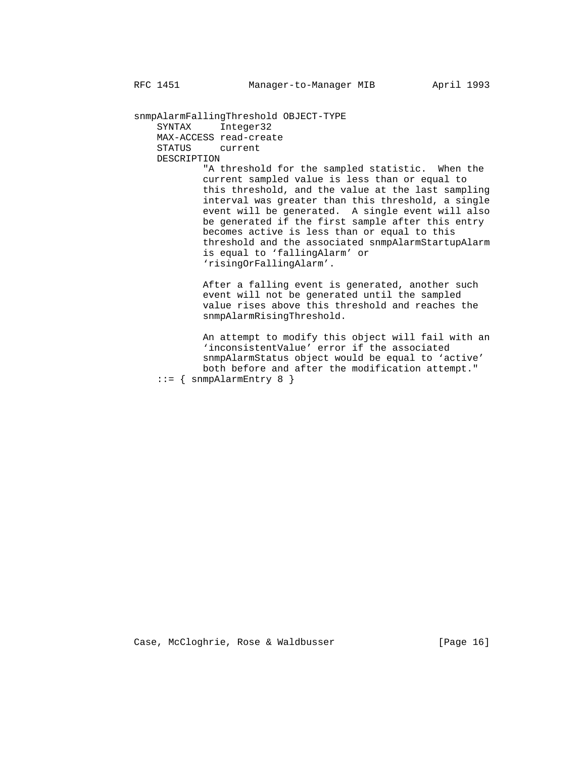snmpAlarmFallingThreshold OBJECT-TYPE SYNTAX Integer32 MAX-ACCESS read-create STATUS current DESCRIPTION

 "A threshold for the sampled statistic. When the current sampled value is less than or equal to this threshold, and the value at the last sampling interval was greater than this threshold, a single event will be generated. A single event will also be generated if the first sample after this entry becomes active is less than or equal to this threshold and the associated snmpAlarmStartupAlarm is equal to 'fallingAlarm' or 'risingOrFallingAlarm'.

> After a falling event is generated, another such event will not be generated until the sampled value rises above this threshold and reaches the snmpAlarmRisingThreshold.

 An attempt to modify this object will fail with an 'inconsistentValue' error if the associated snmpAlarmStatus object would be equal to 'active' both before and after the modification attempt."  $::=$  { snmpAlarmEntry 8 }

Case, McCloghrie, Rose & Waldbusser (Page 16)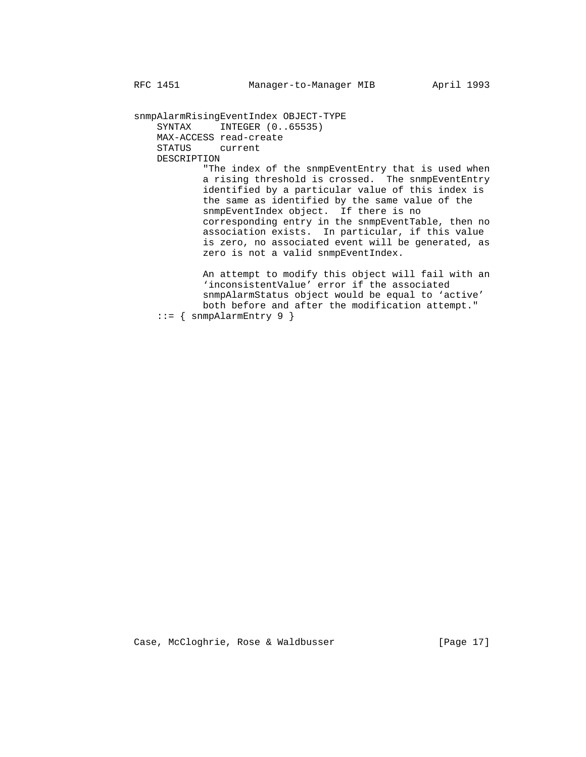snmpAlarmRisingEventIndex OBJECT-TYPE SYNTAX INTEGER (0..65535) MAX-ACCESS read-create STATUS current DESCRIPTION

 "The index of the snmpEventEntry that is used when a rising threshold is crossed. The snmpEventEntry identified by a particular value of this index is the same as identified by the same value of the snmpEventIndex object. If there is no corresponding entry in the snmpEventTable, then no association exists. In particular, if this value is zero, no associated event will be generated, as zero is not a valid snmpEventIndex.

> An attempt to modify this object will fail with an 'inconsistentValue' error if the associated snmpAlarmStatus object would be equal to 'active' both before and after the modification attempt."  $::=$  { snmpAlarmEntry 9 }

Case, McCloghrie, Rose & Waldbusser [Page 17]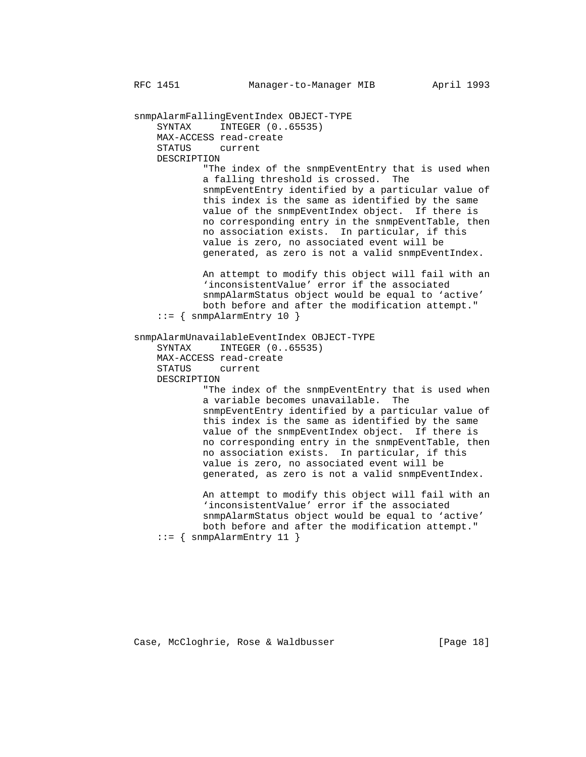snmpAlarmFallingEventIndex OBJECT-TYPE SYNTAX INTEGER  $(0..65535)$  MAX-ACCESS read-create STATUS current DESCRIPTION "The index of the snmpEventEntry that is used when a falling threshold is crossed. The snmpEventEntry identified by a particular value of this index is the same as identified by the same value of the snmpEventIndex object. If there is no corresponding entry in the snmpEventTable, then no association exists. In particular, if this value is zero, no associated event will be generated, as zero is not a valid snmpEventIndex. An attempt to modify this object will fail with an 'inconsistentValue' error if the associated snmpAlarmStatus object would be equal to 'active' both before and after the modification attempt."  $::=$  { snmpAlarmEntry 10 } snmpAlarmUnavailableEventIndex OBJECT-TYPE SYNTAX INTEGER (0..65535) MAX-ACCESS read-create STATUS current DESCRIPTION "The index of the snmpEventEntry that is used when a variable becomes unavailable. The snmpEventEntry identified by a particular value of this index is the same as identified by the same value of the snmpEventIndex object. If there is no corresponding entry in the snmpEventTable, then no association exists. In particular, if this value is zero, no associated event will be generated, as zero is not a valid snmpEventIndex. An attempt to modify this object will fail with an 'inconsistentValue' error if the associated snmpAlarmStatus object would be equal to 'active' both before and after the modification attempt."  $::=$  { snmpAlarmEntry 11 }

Case, McCloghrie, Rose & Waldbusser (Page 18)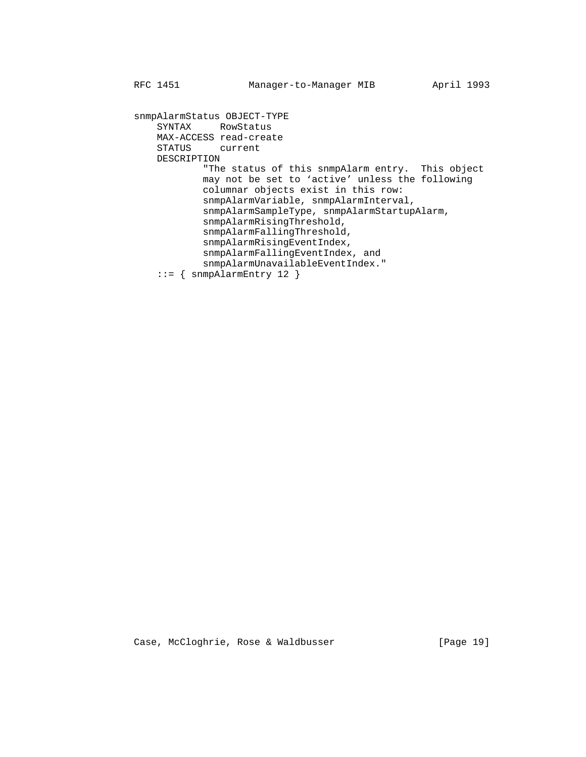snmpAlarmStatus OBJECT-TYPE SYNTAX RowStatus MAX-ACCESS read-create STATUS current DESCRIPTION "The status of this snmpAlarm entry. This object may not be set to 'active' unless the following columnar objects exist in this row: snmpAlarmVariable, snmpAlarmInterval, snmpAlarmSampleType, snmpAlarmStartupAlarm, snmpAlarmRisingThreshold, snmpAlarmFallingThreshold, snmpAlarmRisingEventIndex, snmpAlarmFallingEventIndex, and snmpAlarmUnavailableEventIndex." ::= { snmpAlarmEntry 12 }

Case, McCloghrie, Rose & Waldbusser [Page 19]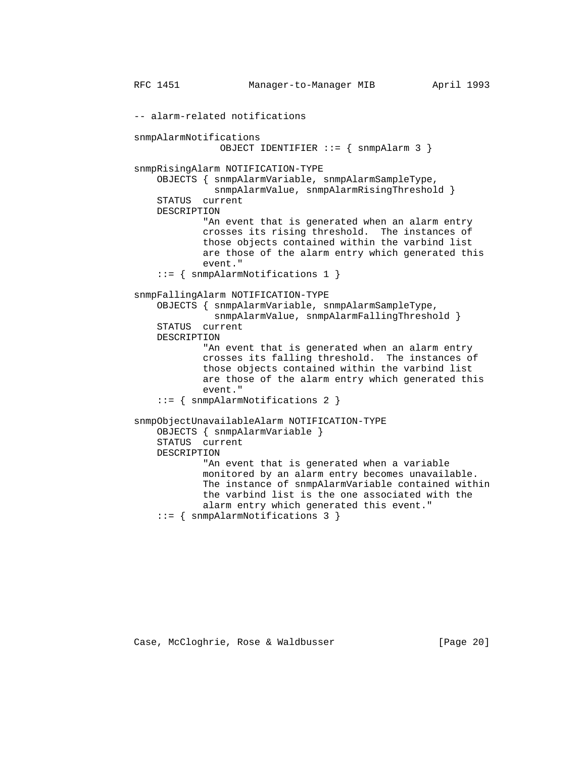```
 RFC 1451 Manager-to-Manager MIB April 1993
 -- alarm-related notifications
 snmpAlarmNotifications
                OBJECT IDENTIFIER ::= { snmpAlarm 3 }
 snmpRisingAlarm NOTIFICATION-TYPE
     OBJECTS { snmpAlarmVariable, snmpAlarmSampleType,
               snmpAlarmValue, snmpAlarmRisingThreshold }
     STATUS current
     DESCRIPTION
             "An event that is generated when an alarm entry
             crosses its rising threshold. The instances of
             those objects contained within the varbind list
             are those of the alarm entry which generated this
             event."
     ::= { snmpAlarmNotifications 1 }
 snmpFallingAlarm NOTIFICATION-TYPE
     OBJECTS { snmpAlarmVariable, snmpAlarmSampleType,
               snmpAlarmValue, snmpAlarmFallingThreshold }
     STATUS current
     DESCRIPTION
             "An event that is generated when an alarm entry
             crosses its falling threshold. The instances of
             those objects contained within the varbind list
             are those of the alarm entry which generated this
             event."
     ::= { snmpAlarmNotifications 2 }
 snmpObjectUnavailableAlarm NOTIFICATION-TYPE
     OBJECTS { snmpAlarmVariable }
     STATUS current
     DESCRIPTION
             "An event that is generated when a variable
             monitored by an alarm entry becomes unavailable.
             The instance of snmpAlarmVariable contained within
             the varbind list is the one associated with the
             alarm entry which generated this event."
     ::= { snmpAlarmNotifications 3 }
```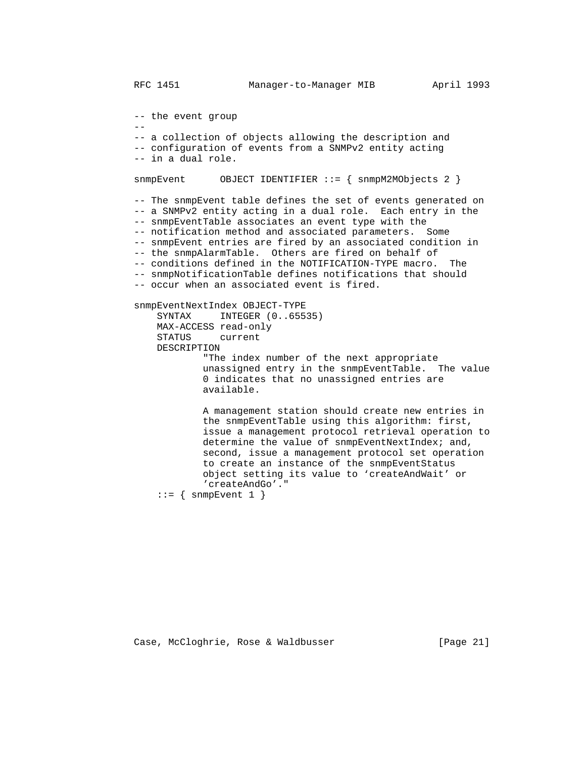-- the event group -- -- a collection of objects allowing the description and -- configuration of events from a SNMPv2 entity acting -- in a dual role. snmpEvent OBJECT IDENTIFIER ::= { snmpM2MObjects 2 } -- The snmpEvent table defines the set of events generated on -- a SNMPv2 entity acting in a dual role. Each entry in the -- snmpEventTable associates an event type with the -- notification method and associated parameters. Some -- snmpEvent entries are fired by an associated condition in -- the snmpAlarmTable. Others are fired on behalf of -- conditions defined in the NOTIFICATION-TYPE macro. The -- snmpNotificationTable defines notifications that should -- occur when an associated event is fired. snmpEventNextIndex OBJECT-TYPE INTEGER (0..65535) MAX-ACCESS read-only STATUS current DESCRIPTION "The index number of the next appropriate unassigned entry in the snmpEventTable. The value 0 indicates that no unassigned entries are available. A management station should create new entries in the snmpEventTable using this algorithm: first, issue a management protocol retrieval operation to determine the value of snmpEventNextIndex; and, second, issue a management protocol set operation to create an instance of the snmpEventStatus object setting its value to 'createAndWait' or 'createAndGo'."  $::=$  { snmpEvent 1 }

Case, McCloghrie, Rose & Waldbusser [Page 21]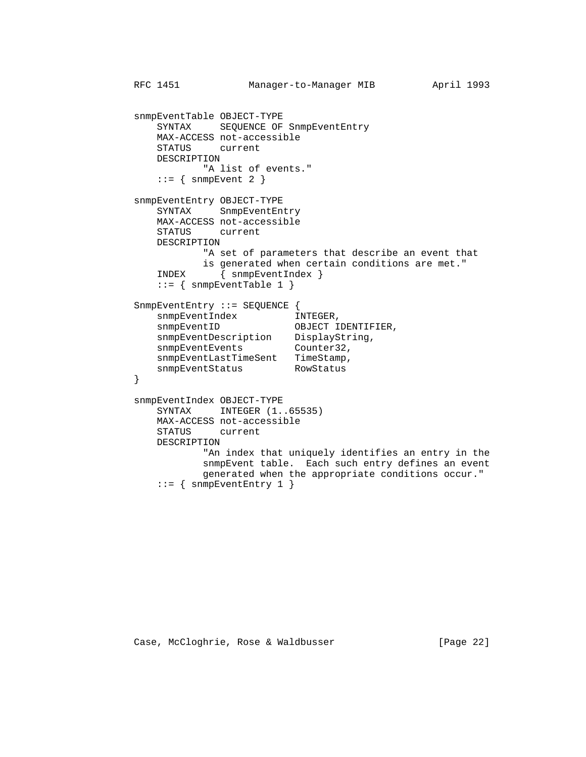```
 RFC 1451 Manager-to-Manager MIB April 1993
         snmpEventTable OBJECT-TYPE
             SYNTAX SEQUENCE OF SnmpEventEntry
             MAX-ACCESS not-accessible
             STATUS current
             DESCRIPTION
                    "A list of events."
            ::= { snmpEvent 2 }
         snmpEventEntry OBJECT-TYPE
             SYNTAX SnmpEventEntry
             MAX-ACCESS not-accessible
             STATUS current
             DESCRIPTION
                    "A set of parameters that describe an event that
                    is generated when certain conditions are met."
             INDEX { snmpEventIndex }
            ::= { snmpEventTable 1 }
         SnmpEventEntry ::= SEQUENCE {
snmpEventIndex INTEGER,
snmpEventID OBJECT IDENTIFIER,
snmpEventDescription DisplayString,
snmpEventEvents Counter32,
            snmpEventLastTimeSent TimeStamp,
        snmpEventStatus RowStatus RowStatus
 }
         snmpEventIndex OBJECT-TYPE
            SYNTAX INTEGER (1..65535)
             MAX-ACCESS not-accessible
             STATUS current
             DESCRIPTION
                    "An index that uniquely identifies an entry in the
                    snmpEvent table. Each such entry defines an event
                    generated when the appropriate conditions occur."
```

```
::= { snmpEventEntry 1 }
```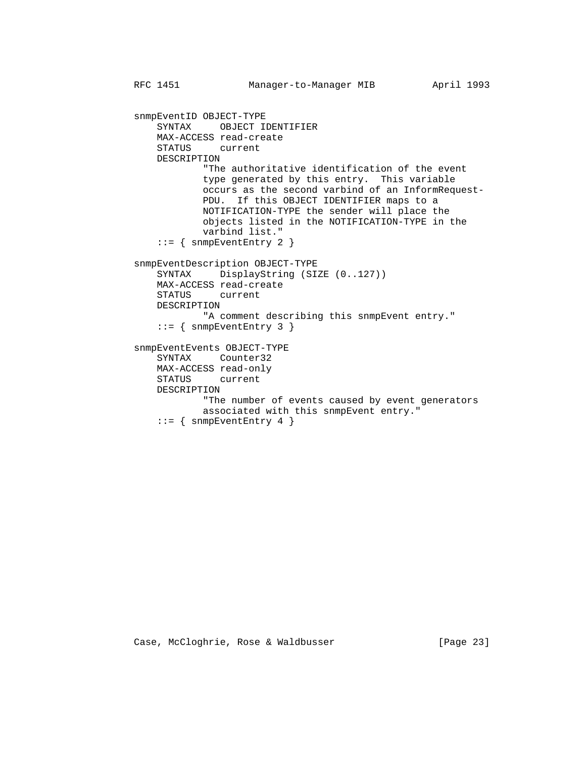RFC 1451 Manager-to-Manager MIB April 1993

 snmpEventID OBJECT-TYPE SYNTAX OBJECT IDENTIFIER MAX-ACCESS read-create STATUS current DESCRIPTION "The authoritative identification of the event type generated by this entry. This variable occurs as the second varbind of an InformRequest- PDU. If this OBJECT IDENTIFIER maps to a NOTIFICATION-TYPE the sender will place the objects listed in the NOTIFICATION-TYPE in the varbind list." ::= { snmpEventEntry 2 } snmpEventDescription OBJECT-TYPE SYNTAX DisplayString (SIZE (0..127)) MAX-ACCESS read-create STATUS current DESCRIPTION "A comment describing this snmpEvent entry." ::= { snmpEventEntry 3 } snmpEventEvents OBJECT-TYPE SYNTAX Counter32 MAX-ACCESS read-only STATUS current DESCRIPTION "The number of events caused by event generators associated with this snmpEvent entry."  $::=$  { snmpEventEntry 4 }

## Case, McCloghrie, Rose & Waldbusser (Page 23)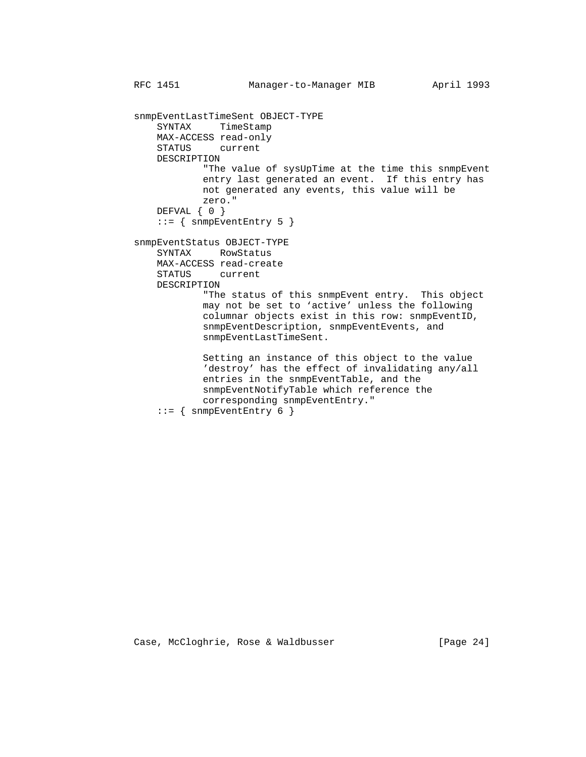```
 snmpEventLastTimeSent OBJECT-TYPE
     SYNTAX TimeStamp
    MAX-ACCESS read-only
     STATUS current
     DESCRIPTION
             "The value of sysUpTime at the time this snmpEvent
             entry last generated an event. If this entry has
             not generated any events, this value will be
             zero."
     DEFVAL { 0 }
     ::= { snmpEventEntry 5 }
 snmpEventStatus OBJECT-TYPE
     SYNTAX RowStatus
     MAX-ACCESS read-create
     STATUS current
     DESCRIPTION
             "The status of this snmpEvent entry. This object
             may not be set to 'active' unless the following
             columnar objects exist in this row: snmpEventID,
             snmpEventDescription, snmpEventEvents, and
             snmpEventLastTimeSent.
             Setting an instance of this object to the value
             'destroy' has the effect of invalidating any/all
             entries in the snmpEventTable, and the
             snmpEventNotifyTable which reference the
             corresponding snmpEventEntry."
    ::= { snmpEventEntry 6 }
```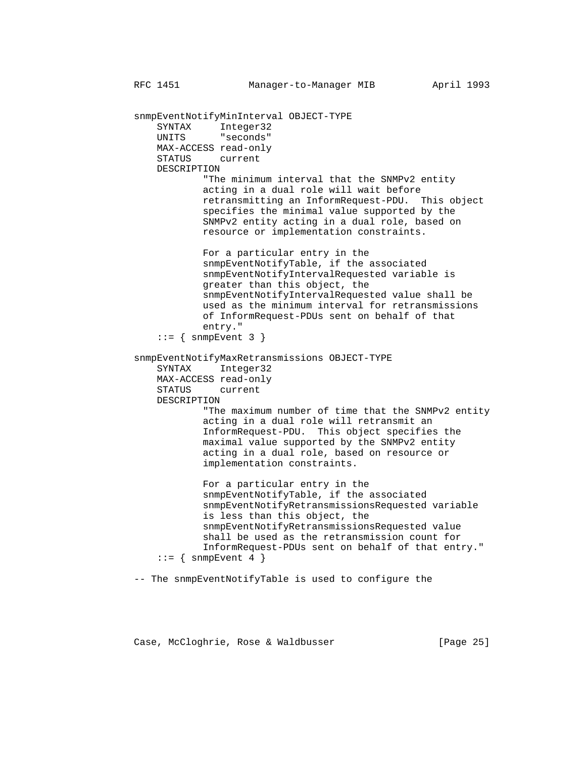```
 RFC 1451 Manager-to-Manager MIB April 1993
```
 snmpEventNotifyMinInterval OBJECT-TYPE SYNTAX Integer32 UNITS "seconds" MAX-ACCESS read-only STATUS current DESCRIPTION "The minimum interval that the SNMPv2 entity acting in a dual role will wait before retransmitting an InformRequest-PDU. This object specifies the minimal value supported by the SNMPv2 entity acting in a dual role, based on resource or implementation constraints. For a particular entry in the snmpEventNotifyTable, if the associated snmpEventNotifyIntervalRequested variable is greater than this object, the snmpEventNotifyIntervalRequested value shall be used as the minimum interval for retransmissions of InformRequest-PDUs sent on behalf of that entry."  $::=$  { snmpEvent 3 } snmpEventNotifyMaxRetransmissions OBJECT-TYPE SYNTAX Integer32 MAX-ACCESS read-only STATUS current DESCRIPTION "The maximum number of time that the SNMPv2 entity acting in a dual role will retransmit an InformRequest-PDU. This object specifies the maximal value supported by the SNMPv2 entity acting in a dual role, based on resource or implementation constraints. For a particular entry in the snmpEventNotifyTable, if the associated snmpEventNotifyRetransmissionsRequested variable is less than this object, the snmpEventNotifyRetransmissionsRequested value shall be used as the retransmission count for InformRequest-PDUs sent on behalf of that entry."  $::=$  { snmpEvent 4 }

-- The snmpEventNotifyTable is used to configure the

Case, McCloghrie, Rose & Waldbusser (Page 25)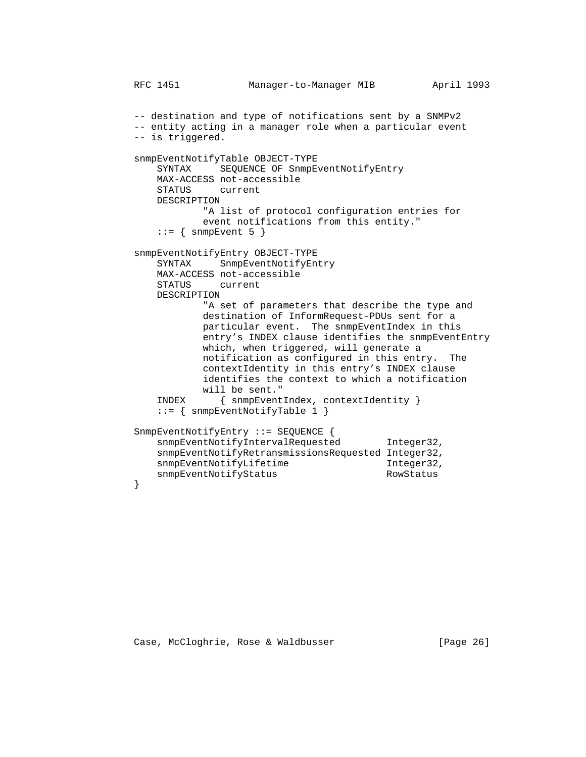```
 RFC 1451 Manager-to-Manager MIB April 1993
          -- destination and type of notifications sent by a SNMPv2
          -- entity acting in a manager role when a particular event
          -- is triggered.
          snmpEventNotifyTable OBJECT-TYPE
              SYNTAX SEQUENCE OF SnmpEventNotifyEntry
              MAX-ACCESS not-accessible
              STATUS current
              DESCRIPTION
                     "A list of protocol configuration entries for
                     event notifications from this entity."
             ::= { snmpEvent 5 }
          snmpEventNotifyEntry OBJECT-TYPE
              SYNTAX SnmpEventNotifyEntry
              MAX-ACCESS not-accessible
              STATUS current
              DESCRIPTION
                      "A set of parameters that describe the type and
                     destination of InformRequest-PDUs sent for a
                     particular event. The snmpEventIndex in this
                     entry's INDEX clause identifies the snmpEventEntry
                     which, when triggered, will generate a
                     notification as configured in this entry. The
                     contextIdentity in this entry's INDEX clause
                     identifies the context to which a notification
                     will be sent."
              INDEX { snmpEventIndex, contextIdentity }
              ::= { snmpEventNotifyTable 1 }
          SnmpEventNotifyEntry ::= SEQUENCE {
             snmpEventNotifyIntervalRequested Integer32,
              snmpEventNotifyRetransmissionsRequested Integer32,
             snmpEventNotifyLifetime Integer32,
         snmpEventNotifyStatus RowStatus RowStatus
 }
```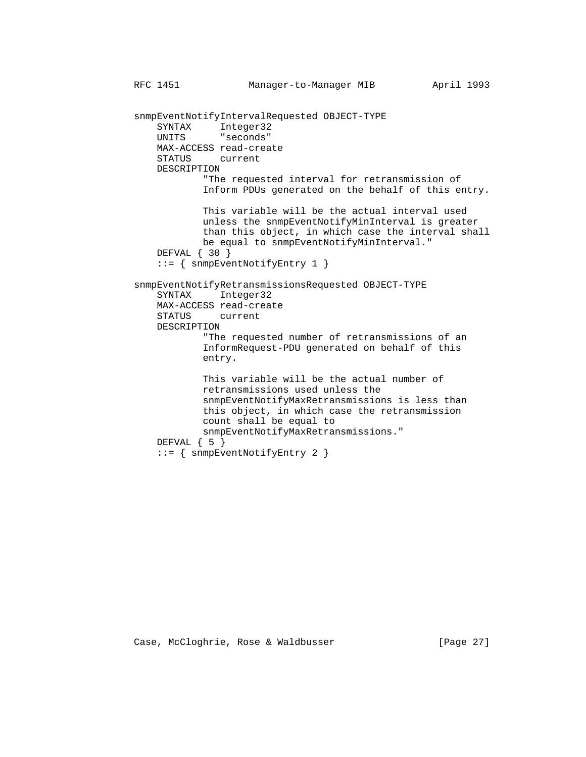```
 RFC 1451 Manager-to-Manager MIB April 1993
 snmpEventNotifyIntervalRequested OBJECT-TYPE
    SYNTAX Integer32<br>UNITS "seconds"
              "seconds"
     MAX-ACCESS read-create
     STATUS current
     DESCRIPTION
             "The requested interval for retransmission of
             Inform PDUs generated on the behalf of this entry.
             This variable will be the actual interval used
             unless the snmpEventNotifyMinInterval is greater
             than this object, in which case the interval shall
             be equal to snmpEventNotifyMinInterval."
     DEFVAL { 30 }
     ::= { snmpEventNotifyEntry 1 }
 snmpEventNotifyRetransmissionsRequested OBJECT-TYPE
     SYNTAX Integer32
     MAX-ACCESS read-create
     STATUS current
     DESCRIPTION
             "The requested number of retransmissions of an
             InformRequest-PDU generated on behalf of this
             entry.
             This variable will be the actual number of
             retransmissions used unless the
             snmpEventNotifyMaxRetransmissions is less than
             this object, in which case the retransmission
             count shall be equal to
             snmpEventNotifyMaxRetransmissions."
    DEFVAL { 5 }
     ::= { snmpEventNotifyEntry 2 }
```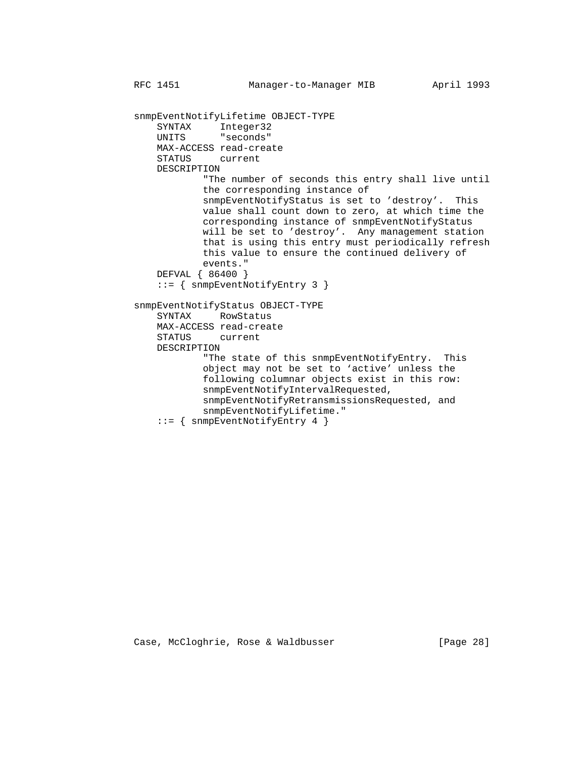snmpEventNotifyLifetime OBJECT-TYPE SYNTAX Integer32<br>UNITS "seconds" "seconds" MAX-ACCESS read-create STATUS current DESCRIPTION "The number of seconds this entry shall live until the corresponding instance of snmpEventNotifyStatus is set to 'destroy'. This value shall count down to zero, at which time the corresponding instance of snmpEventNotifyStatus will be set to 'destroy'. Any management station that is using this entry must periodically refresh this value to ensure the continued delivery of events." DEFVAL { 86400 } ::= { snmpEventNotifyEntry 3 } snmpEventNotifyStatus OBJECT-TYPE SYNTAX RowStatus MAX-ACCESS read-create STATUS current DESCRIPTION "The state of this snmpEventNotifyEntry. This object may not be set to 'active' unless the following columnar objects exist in this row: snmpEventNotifyIntervalRequested, snmpEventNotifyRetransmissionsRequested, and snmpEventNotifyLifetime." ::= { snmpEventNotifyEntry 4 }

Case, McCloghrie, Rose & Waldbusser [Page 28]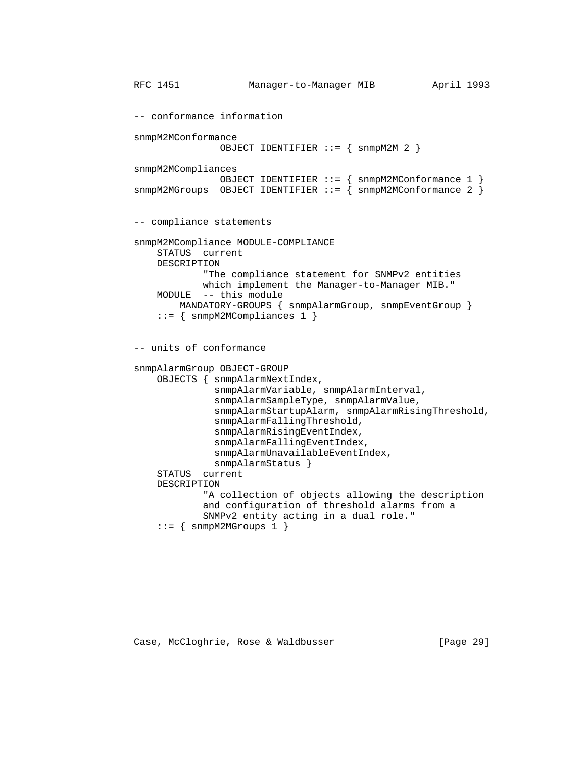```
 RFC 1451 Manager-to-Manager MIB April 1993
 -- conformance information
 snmpM2MConformance
               OBJECT IDENTIFIER ::= { snmpM2M 2 }
 snmpM2MCompliances
                OBJECT IDENTIFIER ::= { snmpM2MConformance 1 }
snmpM2MGroups OBJECT IDENTIFIER ::= { snmpM2MConformance 2 }
 -- compliance statements
 snmpM2MCompliance MODULE-COMPLIANCE
     STATUS current
     DESCRIPTION
             "The compliance statement for SNMPv2 entities
             which implement the Manager-to-Manager MIB."
     MODULE -- this module
         MANDATORY-GROUPS { snmpAlarmGroup, snmpEventGroup }
     ::= { snmpM2MCompliances 1 }
 -- units of conformance
 snmpAlarmGroup OBJECT-GROUP
     OBJECTS { snmpAlarmNextIndex,
               snmpAlarmVariable, snmpAlarmInterval,
               snmpAlarmSampleType, snmpAlarmValue,
               snmpAlarmStartupAlarm, snmpAlarmRisingThreshold,
               snmpAlarmFallingThreshold,
               snmpAlarmRisingEventIndex,
               snmpAlarmFallingEventIndex,
               snmpAlarmUnavailableEventIndex,
               snmpAlarmStatus }
     STATUS current
     DESCRIPTION
             "A collection of objects allowing the description
             and configuration of threshold alarms from a
             SNMPv2 entity acting in a dual role."
    ::= { snmpM2MGroups 1 }
```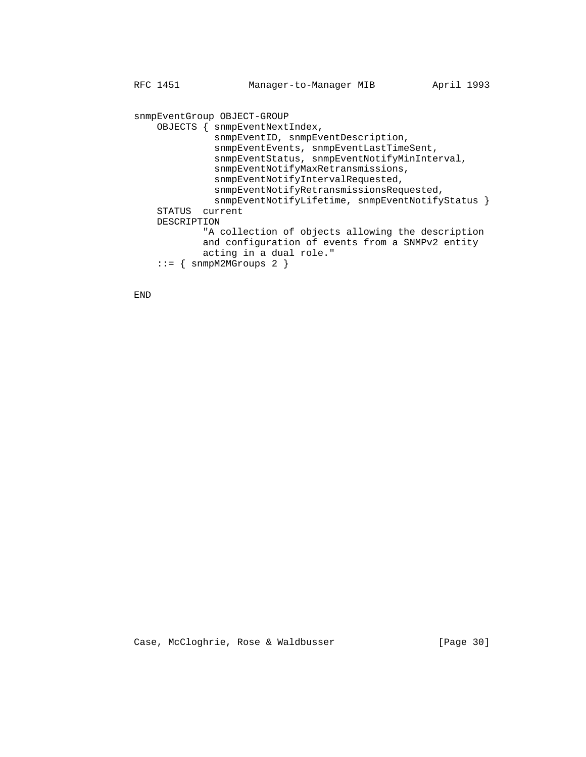snmpEventGroup OBJECT-GROUP OBJECTS { snmpEventNextIndex, snmpEventID, snmpEventDescription, snmpEventEvents, snmpEventLastTimeSent, snmpEventStatus, snmpEventNotifyMinInterval, snmpEventNotifyMaxRetransmissions, snmpEventNotifyIntervalRequested, snmpEventNotifyRetransmissionsRequested, snmpEventNotifyLifetime, snmpEventNotifyStatus } STATUS current DESCRIPTION "A collection of objects allowing the description and configuration of events from a SNMPv2 entity acting in a dual role." ::= { snmpM2MGroups 2 }

END

Case, McCloghrie, Rose & Waldbusser [Page 30]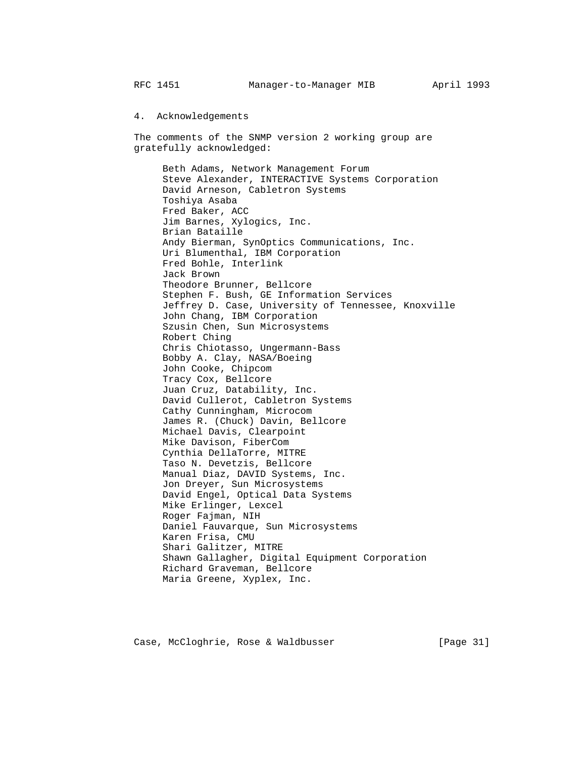### 4. Acknowledgements

 The comments of the SNMP version 2 working group are gratefully acknowledged:

 Beth Adams, Network Management Forum Steve Alexander, INTERACTIVE Systems Corporation David Arneson, Cabletron Systems Toshiya Asaba Fred Baker, ACC Jim Barnes, Xylogics, Inc. Brian Bataille Andy Bierman, SynOptics Communications, Inc. Uri Blumenthal, IBM Corporation Fred Bohle, Interlink Jack Brown Theodore Brunner, Bellcore Stephen F. Bush, GE Information Services Jeffrey D. Case, University of Tennessee, Knoxville John Chang, IBM Corporation Szusin Chen, Sun Microsystems Robert Ching Chris Chiotasso, Ungermann-Bass Bobby A. Clay, NASA/Boeing John Cooke, Chipcom Tracy Cox, Bellcore Juan Cruz, Datability, Inc. David Cullerot, Cabletron Systems Cathy Cunningham, Microcom James R. (Chuck) Davin, Bellcore Michael Davis, Clearpoint Mike Davison, FiberCom Cynthia DellaTorre, MITRE Taso N. Devetzis, Bellcore Manual Diaz, DAVID Systems, Inc. Jon Dreyer, Sun Microsystems David Engel, Optical Data Systems Mike Erlinger, Lexcel Roger Fajman, NIH Daniel Fauvarque, Sun Microsystems Karen Frisa, CMU Shari Galitzer, MITRE Shawn Gallagher, Digital Equipment Corporation Richard Graveman, Bellcore Maria Greene, Xyplex, Inc.

Case, McCloghrie, Rose & Waldbusser [Page 31]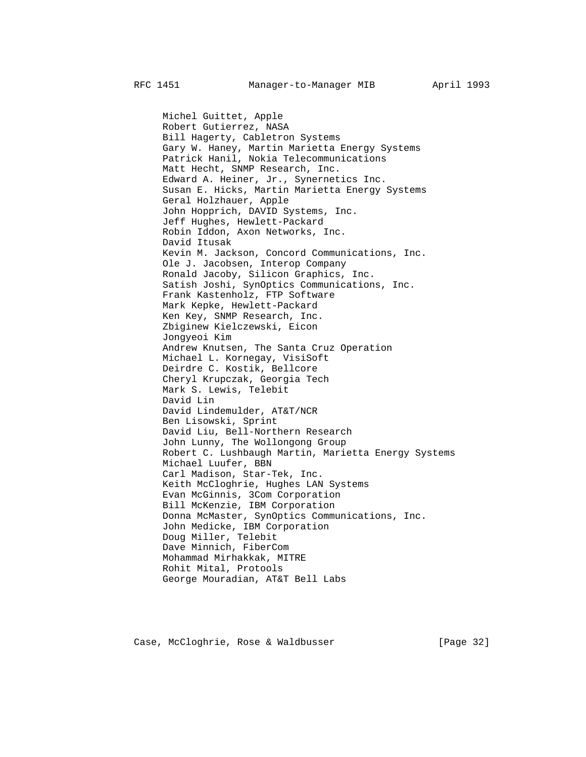Michel Guittet, Apple Robert Gutierrez, NASA Bill Hagerty, Cabletron Systems Gary W. Haney, Martin Marietta Energy Systems Patrick Hanil, Nokia Telecommunications Matt Hecht, SNMP Research, Inc. Edward A. Heiner, Jr., Synernetics Inc. Susan E. Hicks, Martin Marietta Energy Systems Geral Holzhauer, Apple John Hopprich, DAVID Systems, Inc. Jeff Hughes, Hewlett-Packard Robin Iddon, Axon Networks, Inc. David Itusak Kevin M. Jackson, Concord Communications, Inc. Ole J. Jacobsen, Interop Company Ronald Jacoby, Silicon Graphics, Inc. Satish Joshi, SynOptics Communications, Inc. Frank Kastenholz, FTP Software Mark Kepke, Hewlett-Packard Ken Key, SNMP Research, Inc. Zbiginew Kielczewski, Eicon Jongyeoi Kim Andrew Knutsen, The Santa Cruz Operation Michael L. Kornegay, VisiSoft Deirdre C. Kostik, Bellcore Cheryl Krupczak, Georgia Tech Mark S. Lewis, Telebit David Lin David Lindemulder, AT&T/NCR Ben Lisowski, Sprint David Liu, Bell-Northern Research John Lunny, The Wollongong Group Robert C. Lushbaugh Martin, Marietta Energy Systems Michael Luufer, BBN Carl Madison, Star-Tek, Inc. Keith McCloghrie, Hughes LAN Systems Evan McGinnis, 3Com Corporation Bill McKenzie, IBM Corporation Donna McMaster, SynOptics Communications, Inc. John Medicke, IBM Corporation Doug Miller, Telebit Dave Minnich, FiberCom Mohammad Mirhakkak, MITRE Rohit Mital, Protools George Mouradian, AT&T Bell Labs

Case, McCloghrie, Rose & Waldbusser [Page 32]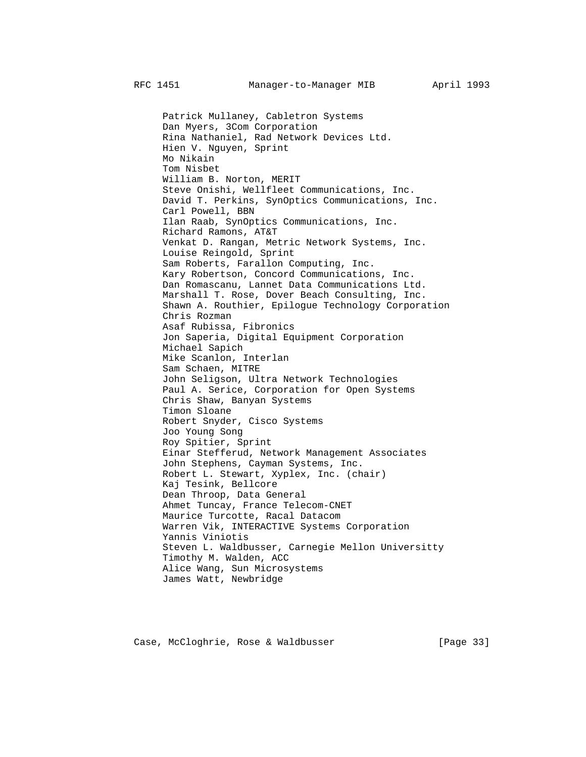Patrick Mullaney, Cabletron Systems Dan Myers, 3Com Corporation Rina Nathaniel, Rad Network Devices Ltd. Hien V. Nguyen, Sprint Mo Nikain Tom Nisbet William B. Norton, MERIT Steve Onishi, Wellfleet Communications, Inc. David T. Perkins, SynOptics Communications, Inc. Carl Powell, BBN Ilan Raab, SynOptics Communications, Inc. Richard Ramons, AT&T Venkat D. Rangan, Metric Network Systems, Inc. Louise Reingold, Sprint Sam Roberts, Farallon Computing, Inc. Kary Robertson, Concord Communications, Inc. Dan Romascanu, Lannet Data Communications Ltd. Marshall T. Rose, Dover Beach Consulting, Inc. Shawn A. Routhier, Epilogue Technology Corporation Chris Rozman Asaf Rubissa, Fibronics Jon Saperia, Digital Equipment Corporation Michael Sapich Mike Scanlon, Interlan Sam Schaen, MITRE John Seligson, Ultra Network Technologies Paul A. Serice, Corporation for Open Systems Chris Shaw, Banyan Systems Timon Sloane Robert Snyder, Cisco Systems Joo Young Song Roy Spitier, Sprint Einar Stefferud, Network Management Associates John Stephens, Cayman Systems, Inc. Robert L. Stewart, Xyplex, Inc. (chair) Kaj Tesink, Bellcore Dean Throop, Data General Ahmet Tuncay, France Telecom-CNET Maurice Turcotte, Racal Datacom Warren Vik, INTERACTIVE Systems Corporation Yannis Viniotis Steven L. Waldbusser, Carnegie Mellon Universitty Timothy M. Walden, ACC Alice Wang, Sun Microsystems James Watt, Newbridge

Case, McCloghrie, Rose & Waldbusser [Page 33]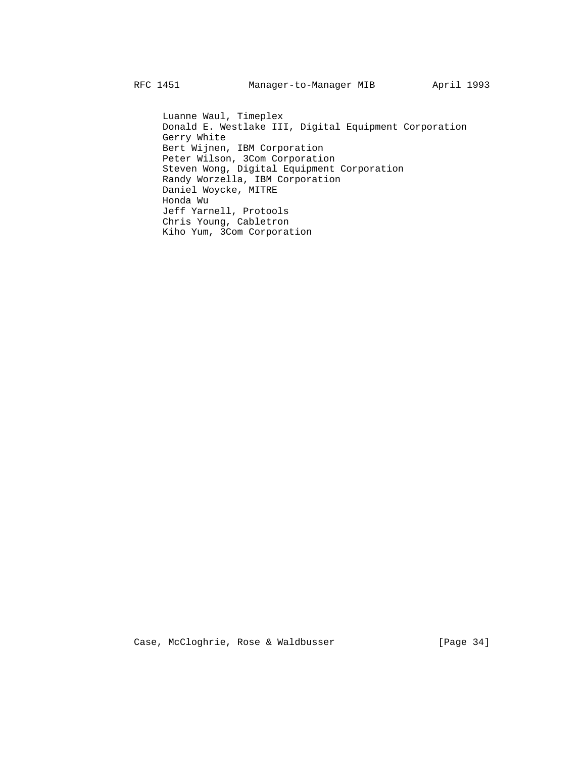Luanne Waul, Timeplex Donald E. Westlake III, Digital Equipment Corporation Gerry White Bert Wijnen, IBM Corporation Peter Wilson, 3Com Corporation Steven Wong, Digital Equipment Corporation Randy Worzella, IBM Corporation Daniel Woycke, MITRE Honda Wu Jeff Yarnell, Protools Chris Young, Cabletron Kiho Yum, 3Com Corporation

Case, McCloghrie, Rose & Waldbusser [Page 34]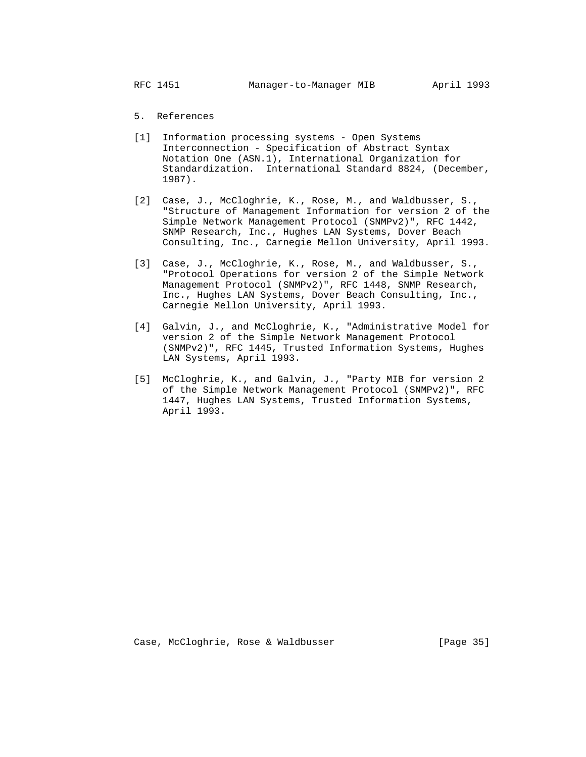5. References

- [1] Information processing systems Open Systems Interconnection - Specification of Abstract Syntax Notation One (ASN.1), International Organization for Standardization. International Standard 8824, (December, 1987).
- [2] Case, J., McCloghrie, K., Rose, M., and Waldbusser, S., "Structure of Management Information for version 2 of the Simple Network Management Protocol (SNMPv2)", RFC 1442, SNMP Research, Inc., Hughes LAN Systems, Dover Beach Consulting, Inc., Carnegie Mellon University, April 1993.
- [3] Case, J., McCloghrie, K., Rose, M., and Waldbusser, S., "Protocol Operations for version 2 of the Simple Network Management Protocol (SNMPv2)", RFC 1448, SNMP Research, Inc., Hughes LAN Systems, Dover Beach Consulting, Inc., Carnegie Mellon University, April 1993.
- [4] Galvin, J., and McCloghrie, K., "Administrative Model for version 2 of the Simple Network Management Protocol (SNMPv2)", RFC 1445, Trusted Information Systems, Hughes LAN Systems, April 1993.
- [5] McCloghrie, K., and Galvin, J., "Party MIB for version 2 of the Simple Network Management Protocol (SNMPv2)", RFC 1447, Hughes LAN Systems, Trusted Information Systems, April 1993.

Case, McCloghrie, Rose & Waldbusser (Page 35)